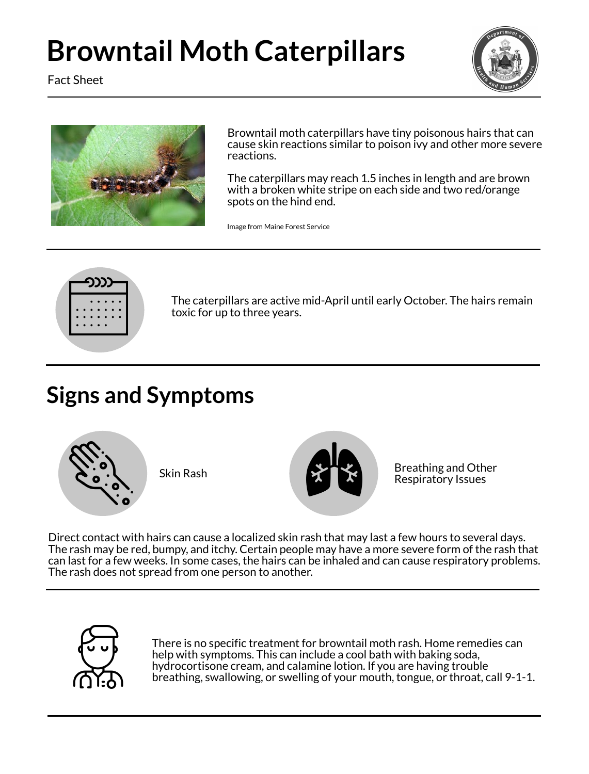





# **Browntail Moth Caterpillars**

Browntail moth caterpillars have tiny poisonous hairs that can cause skin reactions similar to poison ivy and other more severe reactions.

The caterpillars may reach 1.5 inches in length and are brown with a broken white stripe on each side and two red/orange spots on the hind end.

The caterpillars are active mid-April until early October. The hairs remain toxic for up to three years.

## **Signs and Symptoms**

Direct contact with hairs can cause a localized skin rash that may last a few hours to several days. The rash may be red, bumpy, and itchy. Certain people may have a more severe form of the rash that can last for a few weeks. In some cases, the hairs can be inhaled and can cause respiratory problems.





There is no specific treatment for browntail moth rash. Home remedies can help with symptoms. This can include a cool bath with baking soda, hydrocortisone cream, and calamine lotion. If you are having trouble breathing, swallowing, or swelling of your mouth, tongue, or throat, call 9-1-1.

Image from Maine Forest Service